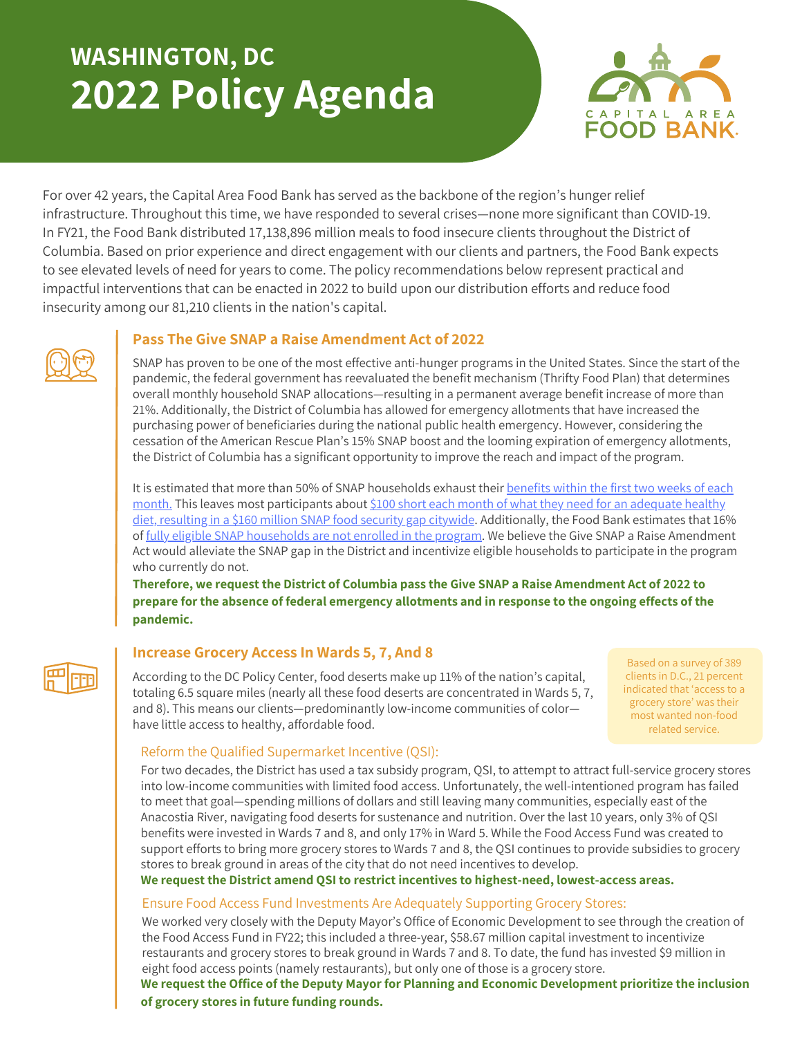# **WASHINGTON, DC 2022 Policy Agenda**



For over 42 years, the Capital Area Food Bank has served as the backbone of the region's hunger relief infrastructure. Throughout this time, we have responded to several crises—none more significant than COVID-19. In FY21, the Food Bank distributed 17,138,896 million meals to food insecure clients throughout the District of Columbia. Based on prior experience and direct engagement with our clients and partners, the Food Bank expects to see elevated levels of need for years to come. The policy recommendations below represent practical and impactful interventions that can be enacted in 2022 to build upon our distribution efforts and reduce food insecurity among our 81,210 clients in the nation's capital.

## **Pass The Give SNAP a Raise Amendment Act of 2022**

SNAP has proven to be one of the most effective anti-hunger programs in the United States. Since the start of the pandemic, the federal government has reevaluated the benefit mechanism (Thrifty Food Plan) that determines overall monthly household SNAP allocations—resulting in a permanent average benefit increase of more than 21%. Additionally, the District of Columbia has allowed for emergency allotments that have increased the purchasing power of beneficiaries during the national public health emergency. However, considering the cessation of the American Rescue Plan's 15% SNAP boost and the looming expiration of emergency allotments, the District of Columbia has a significant opportunity to improve the reach and impact of the program.

It is estimated that more than 50% of SNAP households exhaust their benefits within the first two weeks of each month. This leaves most [participants](https://www.cbpp.org/research/food-assistance/more-adequate-snap-benefits-would-help-millions-of-participants-better) about \$100 short each month of what they need for an adequate healthy diet, resulting in a \$160 million SNAP food security gap citywide. [Additionally,](https://www.christinahendersondc.com/press-releases/give-snap-a-raise) the Food Bank estimates that 16% of fully eligible SNAP [households](https://hunger-report.capitalareafoodbank.org/) are not enrolled in the program. We believe the Give SNAP a Raise Amendment Act would alleviate the SNAP gap in the District and incentivize eligible households to participate in the program who currently do not.

**Therefore, we request the District of Columbia pass the Give SNAP a Raise Amendment Act of 2022 to prepare for the absence of federal emergency allotments and in response to the ongoing effects of the pandemic.**

# **Increase Grocery Access In Wards 5, 7, And 8**

According to the DC Policy Center, food deserts make up 11% of the nation's capital, totaling 6.5 square miles (nearly all these food deserts are concentrated in Wards 5, 7, and 8). This means our clients—predominantly low-income communities of color have little access to healthy, affordable food.

Based on a survey of 389 clients in D.C., 21 percent indicated that 'access to a grocery store' was their most wanted non-food related service.

## Reform the Qualified Supermarket Incentive (QSI):

For two decades, the District has used a tax subsidy program, QSI, to attempt to attract full-service grocery stores into low-income communities with limited food access. Unfortunately, the well-intentioned program has failed to meet that goal—spending millions of dollars and still leaving many communities, especially east of the Anacostia River, navigating food deserts for sustenance and nutrition. Over the last 10 years, only 3% of QSI benefits were invested in Wards 7 and 8, and only 17% in Ward 5. While the Food Access Fund was created to support efforts to bring more grocery stores to Wards 7 and 8, the QSI continues to provide subsidies to grocery stores to break ground in areas of the city that do not need incentives to develop.

**We request the District amend QSI to restrict incentives to highest-need, lowest-access areas.**

#### Ensure Food Access Fund Investments Are Adequately Supporting Grocery Stores:

We worked very closely with the Deputy Mayor's Office of Economic Development to see through the creation of the Food Access Fund in FY22; this included a three-year, \$58.67 million capital investment to incentivize restaurants and grocery stores to break ground in Wards 7 and 8. To date, the fund has invested \$9 million in eight food access points (namely restaurants), but only one of those is a grocery store.

**We request the Office of the Deputy Mayor for Planning and Economic Development prioritize the inclusion of grocery stores in future funding rounds.**